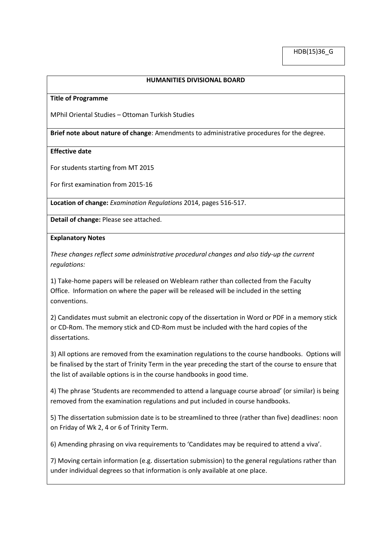## **HUMANITIES DIVISIONAL BOARD**

#### **Title of Programme**

MPhil Oriental Studies – Ottoman Turkish Studies

**Brief note about nature of change**: Amendments to administrative procedures for the degree.

### **Effective date**

For students starting from MT 2015

For first examination from 2015-16

**Location of change:** *Examination Regulations* 2014, pages 516-517.

**Detail of change:** Please see attached.

### **Explanatory Notes**

*These changes reflect some administrative procedural changes and also tidy-up the current regulations:*

1) Take-home papers will be released on Weblearn rather than collected from the Faculty Office. Information on where the paper will be released will be included in the setting conventions.

2) Candidates must submit an electronic copy of the dissertation in Word or PDF in a memory stick or CD-Rom. The memory stick and CD-Rom must be included with the hard copies of the dissertations.

3) All options are removed from the examination regulations to the course handbooks. Options will be finalised by the start of Trinity Term in the year preceding the start of the course to ensure that the list of available options is in the course handbooks in good time.

4) The phrase 'Students are recommended to attend a language course abroad' (or similar) is being removed from the examination regulations and put included in course handbooks.

5) The dissertation submission date is to be streamlined to three (rather than five) deadlines: noon on Friday of Wk 2, 4 or 6 of Trinity Term.

6) Amending phrasing on viva requirements to 'Candidates may be required to attend a viva'.

7) Moving certain information (e.g. dissertation submission) to the general regulations rather than under individual degrees so that information is only available at one place.